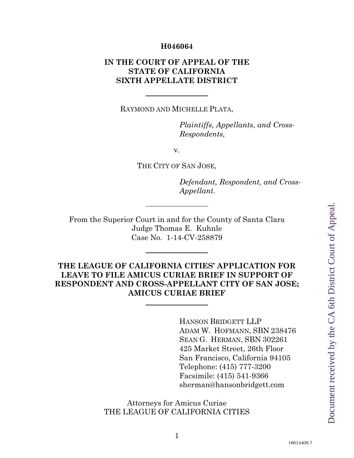#### **H046064**

## **IN THE COURT OF APPEAL OF THE STATE OF CALIFORNIA SIXTH APPELLATE DISTRICT**

RAYMOND AND MICHELLE PLATA,

*Plaintiffs, Appellants, and Cross-Respondents,*

v.

THE CITY OF SAN JOSE,

*Defendant, Respondent, and Cross-Appellant.*

From the Superior Court in and for the County of Santa Clara Judge Thomas E. Kuhnle Case No. 1-14-CV-258879

## **THE LEAGUE OF CALIFORNIA CITIES' APPLICATION FOR LEAVE TO FILE AMICUS CURIAE BRIEF IN SUPPORT OF RESPONDENT AND CROSS-APPELLANT CITY OF SAN JOSE; AMICUS CURIAE BRIEF**

HANSON BRIDGETT LLP ADAM W. HOFMANN, SBN 238476 SEAN G. HERMAN, SBN 302261 425 Market Street, 26th Floor San Francisco, California 94105 Telephone: (415) 777-3200 Facsimile: (415) 541-9366 sherman@hansonbridgett.com

#### Attorneys for Amicus Curiae THE LEAGUE OF CALIFORNIA CITIES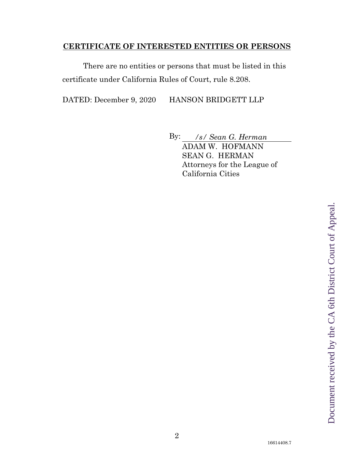#### <span id="page-1-0"></span>**CERTIFICATE OF INTERESTED ENTITIES OR PERSONS**

There are no entities or persons that must be listed in this certificate under California Rules of Court, rule 8.208.

DATED: December 9, 2020 HANSON BRIDGETT LLP

By: */s/ Sean G. Herman* ADAM W. HOFMANN SEAN G. HERMAN Attorneys for the League of California Cities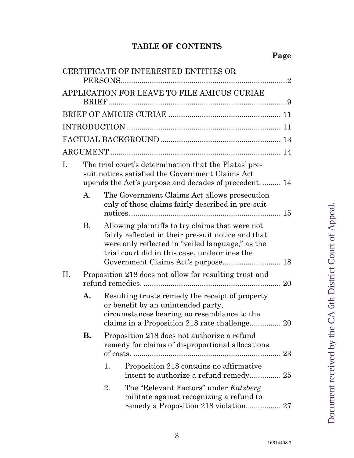# **TABLE OF CONTENTS**

|     |           |                                                                                                                                                                                                           | CERTIFICATE OF INTERESTED ENTITIES OR                                                                                                                             |  |  |
|-----|-----------|-----------------------------------------------------------------------------------------------------------------------------------------------------------------------------------------------------------|-------------------------------------------------------------------------------------------------------------------------------------------------------------------|--|--|
|     |           |                                                                                                                                                                                                           | APPLICATION FOR LEAVE TO FILE AMICUS CURIAE                                                                                                                       |  |  |
|     |           |                                                                                                                                                                                                           |                                                                                                                                                                   |  |  |
|     |           |                                                                                                                                                                                                           |                                                                                                                                                                   |  |  |
|     |           |                                                                                                                                                                                                           |                                                                                                                                                                   |  |  |
|     |           |                                                                                                                                                                                                           |                                                                                                                                                                   |  |  |
| Ι.  |           |                                                                                                                                                                                                           | The trial court's determination that the Platas' pre-<br>suit notices satisfied the Government Claims Act<br>upends the Act's purpose and decades of precedent 14 |  |  |
|     | A.        |                                                                                                                                                                                                           | The Government Claims Act allows prosecution<br>only of those claims fairly described in pre-suit                                                                 |  |  |
|     | <b>B.</b> | Allowing plaintiffs to try claims that were not<br>fairly reflected in their pre-suit notice and that<br>were only reflected in "veiled language," as the<br>trial court did in this case, undermines the |                                                                                                                                                                   |  |  |
| II. |           |                                                                                                                                                                                                           | Proposition 218 does not allow for resulting trust and                                                                                                            |  |  |
|     | A.        | Resulting trusts remedy the receipt of property<br>or benefit by an unintended party,<br>circumstances bearing no resemblance to the<br>claims in a Proposition 218 rate challenge 20                     |                                                                                                                                                                   |  |  |
|     | <b>B.</b> |                                                                                                                                                                                                           | Proposition 218 does not authorize a refund<br>remedy for claims of disproportional allocations                                                                   |  |  |
|     |           | 1.                                                                                                                                                                                                        | Proposition 218 contains no affirmative                                                                                                                           |  |  |
|     |           | 2.                                                                                                                                                                                                        | The "Relevant Factors" under Katzberg<br>militate against recognizing a refund to<br>remedy a Proposition 218 violation.  27                                      |  |  |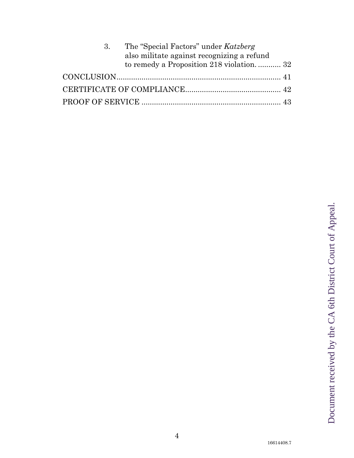| 3. | The "Special Factors" under Katzberg<br>also militate against recognizing a refund |  |
|----|------------------------------------------------------------------------------------|--|
|    | to remedy a Proposition 218 violation 32                                           |  |
|    |                                                                                    |  |
|    |                                                                                    |  |
|    |                                                                                    |  |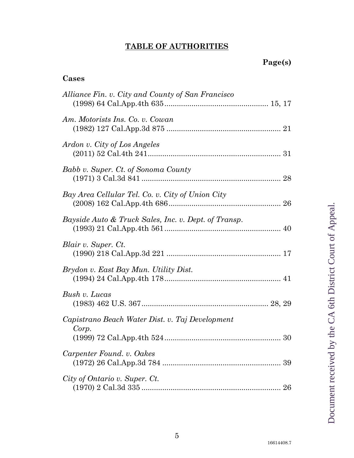# **TABLE OF AUTHORITIES**

## **Cases**

| Alliance Fin. v. City and County of San Francisco        |    |
|----------------------------------------------------------|----|
| Am. Motorists Ins. Co. v. Cowan                          |    |
| Ardon v. City of Los Angeles                             |    |
| Babb v. Super. Ct. of Sonoma County                      |    |
| Bay Area Cellular Tel. Co. v. City of Union City         |    |
| Bayside Auto & Truck Sales, Inc. v. Dept. of Transp.     |    |
| Blair v. Super. Ct.                                      |    |
| Brydon v. East Bay Mun. Utility Dist.                    |    |
| Bush v. Lucas                                            |    |
| Capistrano Beach Water Dist. v. Taj Development<br>Corp. |    |
| Carpenter Found. v. Oakes                                | 39 |
| City of Ontario v. Super. Ct.                            |    |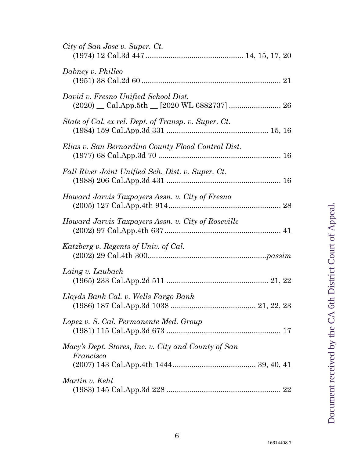| City of San Jose v. Super. Ct.                                   |  |
|------------------------------------------------------------------|--|
| Dabney v. Philleo                                                |  |
| David v. Fresno Unified School Dist.                             |  |
| State of Cal. ex rel. Dept. of Transp. v. Super. Ct.             |  |
| Elias v. San Bernardino County Flood Control Dist.               |  |
| Fall River Joint Unified Sch. Dist. v. Super. Ct.                |  |
| Howard Jarvis Taxpayers Assn. v. City of Fresno                  |  |
| Howard Jarvis Taxpayers Assn. v. City of Roseville               |  |
| Katzberg v. Regents of Univ. of Cal.                             |  |
| Laing v. Laubach                                                 |  |
| Lloyds Bank Cal. v. Wells Fargo Bank                             |  |
| Lopez v. S. Cal. Permanente Med. Group                           |  |
| Macy's Dept. Stores, Inc. v. City and County of San<br>Francisco |  |
|                                                                  |  |
| Martin v. Kehl                                                   |  |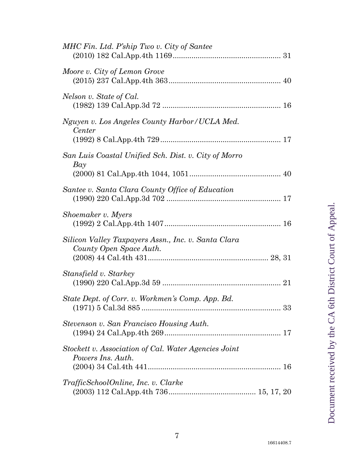| MHC Fin. Ltd. P'ship Two v. City of Santee                                     |
|--------------------------------------------------------------------------------|
| Moore v. City of Lemon Grove                                                   |
| Nelson v. State of Cal.                                                        |
| Nguyen v. Los Angeles County Harbor/UCLA Med.<br>Center                        |
| San Luis Coastal Unified Sch. Dist. v. City of Morro<br>Bay                    |
| Santee v. Santa Clara County Office of Education                               |
| Shoemaker v. Myers                                                             |
| Silicon Valley Taxpayers Assn., Inc. v. Santa Clara<br>County Open Space Auth. |
| Stansfield v. Starkey                                                          |
| State Dept. of Corr. v. Workmen's Comp. App. Bd.                               |
| Stevenson v. San Francisco Housing Auth.                                       |
| Stockett v. Association of Cal. Water Agencies Joint<br>Powers Ins. Auth.      |
| TrafficSchoolOnline, Inc. v. Clarke                                            |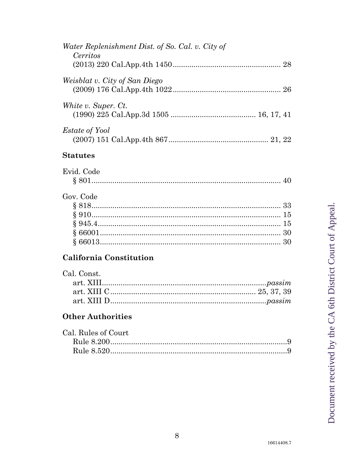| Water Replenishment Dist. of So. Cal. v. City of<br>Cerritos |  |
|--------------------------------------------------------------|--|
|                                                              |  |
| <i>Weisblat v. City of San Diego</i>                         |  |
| White v. Super. Ct.                                          |  |
| <i>Estate of Yool</i>                                        |  |

## **Statutes**

| Evid. Code        |  |
|-------------------|--|
| 8.80 <sup>-</sup> |  |

# Gov. Code

# California Constitution

| Cal. Const. |
|-------------|
|             |
|             |
|             |

## **Other Authorities**

| Cal. Rules of Court |
|---------------------|
|                     |
|                     |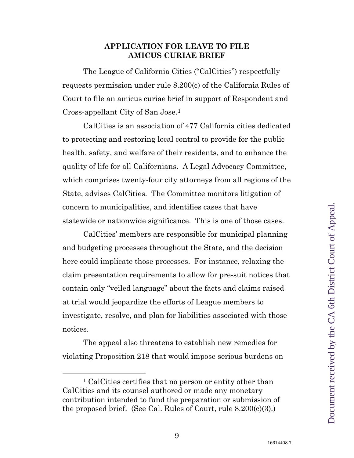#### <span id="page-8-2"></span>**APPLICATION FOR LEAVE TO FILE AMICUS CURIAE BRIEF**

<span id="page-8-0"></span>The League of California Cities ("CalCities") respectfully requests permission under rule 8.200(c) of the California Rules of Court to file an amicus curiae brief in support of Respondent and Cross-appellant City of San Jose.**[1](#page-8-3)**

CalCities is an association of 477 California cities dedicated to protecting and restoring local control to provide for the public health, safety, and welfare of their residents, and to enhance the quality of life for all Californians. A Legal Advocacy Committee, which comprises twenty-four city attorneys from all regions of the State, advises CalCities. The Committee monitors litigation of concern to municipalities, and identifies cases that have statewide or nationwide significance. This is one of those cases.

CalCities' members are responsible for municipal planning and budgeting processes throughout the State, and the decision here could implicate those processes. For instance, relaxing the claim presentation requirements to allow for pre-suit notices that contain only "veiled language" about the facts and claims raised at trial would jeopardize the efforts of League members to investigate, resolve, and plan for liabilities associated with those notices.

The appeal also threatens to establish new remedies for violating Proposition 218 that would impose serious burdens on

<span id="page-8-3"></span><span id="page-8-1"></span> <sup>1</sup> CalCities certifies that no person or entity other than CalCities and its counsel authored or made any monetary contribution intended to fund the preparation or submission of the proposed brief. (See Cal. Rules of Court, rule 8.200(c)(3).)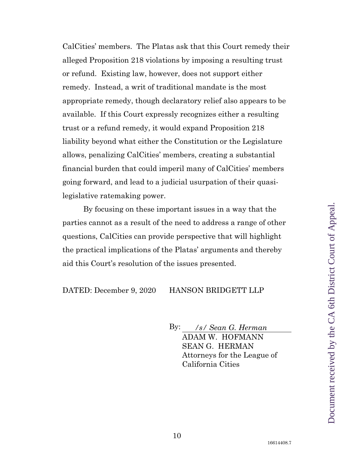CalCities' members. The Platas ask that this Court remedy their alleged Proposition 218 violations by imposing a resulting trust or refund. Existing law, however, does not support either remedy. Instead, a writ of traditional mandate is the most appropriate remedy, though declaratory relief also appears to be available. If this Court expressly recognizes either a resulting trust or a refund remedy, it would expand Proposition 218 liability beyond what either the Constitution or the Legislature allows, penalizing CalCities' members, creating a substantial financial burden that could imperil many of CalCities' members going forward, and lead to a judicial usurpation of their quasilegislative ratemaking power.

By focusing on these important issues in a way that the parties cannot as a result of the need to address a range of other questions, CalCities can provide perspective that will highlight the practical implications of the Platas' arguments and thereby aid this Court's resolution of the issues presented.

#### DATED: December 9, 2020 HANSON BRIDGETT LLP

By: */s/ Sean G. Herman* ADAM W. HOFMANN SEAN G. HERMAN Attorneys for the League of California Cities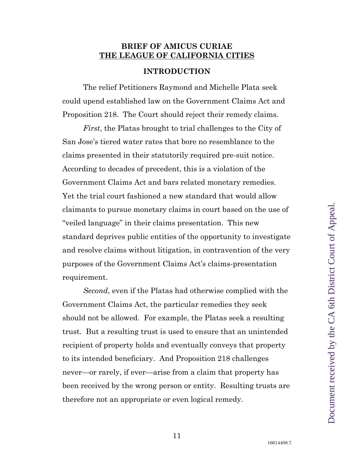#### <span id="page-10-0"></span>**BRIEF OF AMICUS CURIAE THE LEAGUE OF CALIFORNIA CITIES**

#### **INTRODUCTION**

<span id="page-10-1"></span>The relief Petitioners Raymond and Michelle Plata seek could upend established law on the Government Claims Act and Proposition 218. The Court should reject their remedy claims.

*First*, the Platas brought to trial challenges to the City of San Jose's tiered water rates that bore no resemblance to the claims presented in their statutorily required pre-suit notice. According to decades of precedent, this is a violation of the Government Claims Act and bars related monetary remedies. Yet the trial court fashioned a new standard that would allow claimants to pursue monetary claims in court based on the use of "veiled language" in their claims presentation. This new standard deprives public entities of the opportunity to investigate and resolve claims without litigation, in contravention of the very purposes of the Government Claims Act's claims-presentation requirement.

*Second*, even if the Platas had otherwise complied with the Government Claims Act, the particular remedies they seek should not be allowed. For example, the Platas seek a resulting trust. But a resulting trust is used to ensure that an unintended recipient of property holds and eventually conveys that property to its intended beneficiary. And Proposition 218 challenges never—or rarely, if ever—arise from a claim that property has been received by the wrong person or entity. Resulting trusts are therefore not an appropriate or even logical remedy.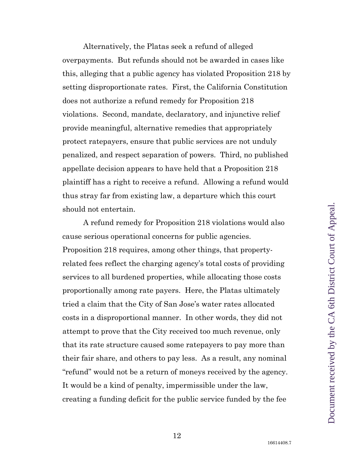Alternatively, the Platas seek a refund of alleged overpayments. But refunds should not be awarded in cases like this, alleging that a public agency has violated Proposition 218 by setting disproportionate rates. First, the California Constitution does not authorize a refund remedy for Proposition 218 violations. Second, mandate, declaratory, and injunctive relief provide meaningful, alternative remedies that appropriately protect ratepayers, ensure that public services are not unduly penalized, and respect separation of powers. Third, no published appellate decision appears to have held that a Proposition 218 plaintiff has a right to receive a refund. Allowing a refund would thus stray far from existing law, a departure which this court should not entertain.

A refund remedy for Proposition 218 violations would also cause serious operational concerns for public agencies. Proposition 218 requires, among other things, that propertyrelated fees reflect the charging agency's total costs of providing services to all burdened properties, while allocating those costs proportionally among rate payers. Here, the Platas ultimately tried a claim that the City of San Jose's water rates allocated costs in a disproportional manner. In other words, they did not attempt to prove that the City received too much revenue, only that its rate structure caused some ratepayers to pay more than their fair share, and others to pay less. As a result, any nominal "refund" would not be a return of moneys received by the agency. It would be a kind of penalty, impermissible under the law, creating a funding deficit for the public service funded by the fee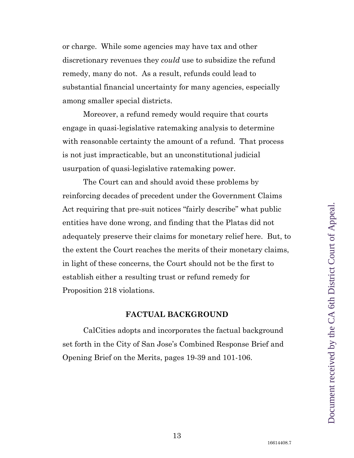or charge. While some agencies may have tax and other discretionary revenues they *could* use to subsidize the refund remedy, many do not. As a result, refunds could lead to substantial financial uncertainty for many agencies, especially among smaller special districts.

Moreover, a refund remedy would require that courts engage in quasi-legislative ratemaking analysis to determine with reasonable certainty the amount of a refund. That process is not just impracticable, but an unconstitutional judicial usurpation of quasi-legislative ratemaking power.

The Court can and should avoid these problems by reinforcing decades of precedent under the Government Claims Act requiring that pre-suit notices "fairly describe" what public entities have done wrong, and finding that the Platas did not adequately preserve their claims for monetary relief here. But, to the extent the Court reaches the merits of their monetary claims, in light of these concerns, the Court should not be the first to establish either a resulting trust or refund remedy for Proposition 218 violations.

#### **FACTUAL BACKGROUND**

<span id="page-12-0"></span>CalCities adopts and incorporates the factual background set forth in the City of San Jose's Combined Response Brief and Opening Brief on the Merits, pages 19-39 and 101-106.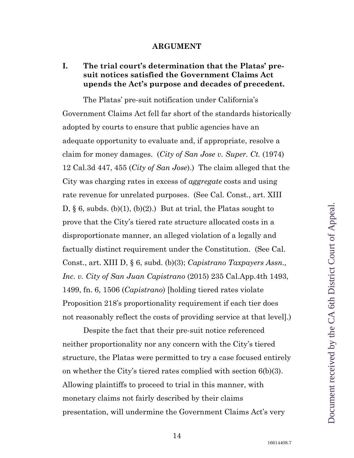#### <span id="page-13-3"></span><span id="page-13-2"></span>**ARGUMENT**

## <span id="page-13-1"></span><span id="page-13-0"></span>**I. The trial court's determination that the Platas' presuit notices satisfied the Government Claims Act upends the Act's purpose and decades of precedent.**

The Platas' pre-suit notification under California's Government Claims Act fell far short of the standards historically adopted by courts to ensure that public agencies have an adequate opportunity to evaluate and, if appropriate, resolve a claim for money damages. (*City of San Jose v. Super. Ct.* (1974) 12 Cal.3d 447, 455 (*City of San Jose*).) The claim alleged that the City was charging rates in excess of *aggregate* costs and using rate revenue for unrelated purposes. (See Cal. Const., art. XIII D,  $\S$  6, subds. (b)(1), (b)(2).) But at trial, the Platas sought to prove that the City's tiered rate structure allocated costs in a disproportionate manner, an alleged violation of a legally and factually distinct requirement under the Constitution. (See Cal. Const., art. XIII D, § 6, subd. (b)(3); *Capistrano Taxpayers Assn., Inc. v. City of San Juan Capistrano* (2015) 235 Cal.App.4th 1493, 1499, fn. 6, 1506 (*Capistrano*) [holding tiered rates violate Proposition 218's proportionality requirement if each tier does not reasonably reflect the costs of providing service at that level].)

Despite the fact that their pre-suit notice referenced neither proportionality nor any concern with the City's tiered structure, the Platas were permitted to try a case focused entirely on whether the City's tiered rates complied with section 6(b)(3). Allowing plaintiffs to proceed to trial in this manner, with monetary claims not fairly described by their claims presentation, will undermine the Government Claims Act's very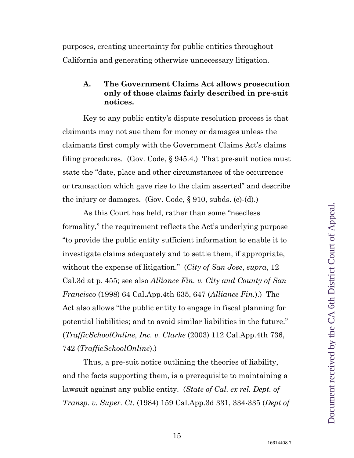purposes, creating uncertainty for public entities throughout California and generating otherwise unnecessary litigation.

#### <span id="page-14-0"></span>**A. The Government Claims Act allows prosecution only of those claims fairly described in pre-suit notices.**

<span id="page-14-6"></span>Key to any public entity's dispute resolution process is that claimants may not sue them for money or damages unless the claimants first comply with the Government Claims Act's claims filing procedures. (Gov. Code,  $\S 945.4$ .) That pre-suit notice must state the "date, place and other circumstances of the occurrence or transaction which gave rise to the claim asserted" and describe the injury or damages. (Gov. Code,  $\S 910$ , subds. (c)-(d).)

<span id="page-14-5"></span><span id="page-14-2"></span><span id="page-14-1"></span>As this Court has held, rather than some "needless formality," the requirement reflects the Act's underlying purpose "to provide the public entity sufficient information to enable it to investigate claims adequately and to settle them, if appropriate, without the expense of litigation." (*City of San Jose*, *supra*, 12 Cal.3d at p. 455; see also *Alliance Fin. v. City and County of San Francisco* (1998) 64 Cal.App.4th 635, 647 (*Alliance Fin.*).) The Act also allows "the public entity to engage in fiscal planning for potential liabilities; and to avoid similar liabilities in the future." (*TrafficSchoolOnline, Inc. v. Clarke* (2003) 112 Cal.App.4th 736, 742 (*TrafficSchoolOnline*).)

<span id="page-14-4"></span><span id="page-14-3"></span>Thus, a pre-suit notice outlining the theories of liability, and the facts supporting them, is a prerequisite to maintaining a lawsuit against any public entity. (*State of Cal. ex rel. Dept. of Transp. v. Super. Ct.* (1984) 159 Cal.App.3d 331, 334-335 (*Dept of*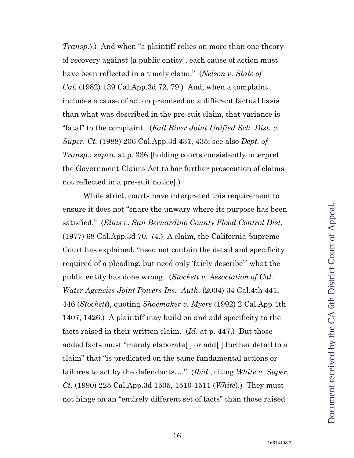<span id="page-15-3"></span>*Transp.*).) And when "a plaintiff relies on more than one theory of recovery against [a public entity], each cause of action must have been reflected in a timely claim." (*Nelson v. State of Cal.* (1982) 139 Cal.App.3d 72, 79.) And, when a complaint includes a cause of action premised on a different factual basis than what was described in the pre-suit claim, that variance is "fatal" to the complaint. (*Fall River Joint Unified Sch. Dist. v. Super. Ct.* (1988) 206 Cal.App.3d 431, 435; see also *Dept. of Transp.*, *supra*, at p. 336 [holding courts consistently interpret the Government Claims Act to bar further prosecution of claims not reflected in a pre-suit notice].)

<span id="page-15-6"></span><span id="page-15-5"></span><span id="page-15-4"></span><span id="page-15-2"></span><span id="page-15-1"></span><span id="page-15-0"></span>While strict, courts have interpreted this requirement to ensure it does not "snare the unwary where its purpose has been satisfied." (*Elias v. San Bernardino County Flood Control Dist.*  (1977) 68 Cal.App.3d 70, 74.) A claim, the California Supreme Court has explained, "need not contain the detail and specificity required of a pleading, but need only 'fairly describe'" what the public entity has done wrong. (*Stockett v. Association of Cal. Water Agencies Joint Powers Ins. Auth.* (2004) 34 Cal.4th 441, 446 (*Stockett*), quoting *Shoemaker v. Myers* (1992) 2 Cal.App.4th 1407, 1426.) A plaintiff may build on and add specificity to the facts raised in their written claim. (*Id*. at p. 447.) But those added facts must "merely elaborate[ ] or add[ ] further detail to a claim" that "is predicated on the same fundamental actions or failures to act by the defendants…." (*Ibid*., citing *White v. Super. Ct.* (1990) 225 Cal.App.3d 1505, 1510-1511 (*White*).) They must not hinge on an "entirely different set of facts" than those raised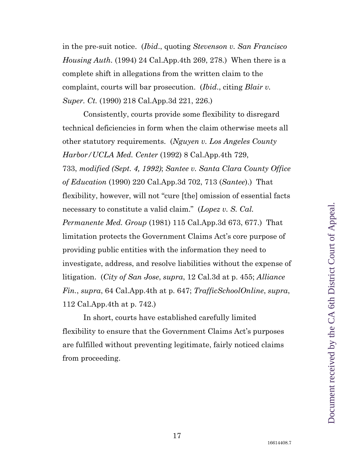<span id="page-16-8"></span><span id="page-16-6"></span>in the pre-suit notice. (*Ibid*., quoting *Stevenson v. San Francisco Housing Auth.* (1994) 24 Cal.App.4th 269, 278.) When there is a complete shift in allegations from the written claim to the complaint, courts will bar prosecution. (*Ibid*., citing *Blair v. Super. Ct.* (1990) 218 Cal.App.3d 221, 226.)

<span id="page-16-5"></span><span id="page-16-4"></span><span id="page-16-3"></span><span id="page-16-1"></span>Consistently, courts provide some flexibility to disregard technical deficiencies in form when the claim otherwise meets all other statutory requirements. (*Nguyen v. Los Angeles County Harbor/UCLA Med. Center* (1992) 8 Cal.App.4th 729, 733, *modified (Sept. 4, 1992)*; *Santee v. Santa Clara County Office of Education* (1990) 220 Cal.App.3d 702, 713 (*Santee*).) That flexibility, however, will not "cure [the] omission of essential facts necessary to constitute a valid claim." (*Lopez v. S. Cal. Permanente Med. Group* (1981) 115 Cal.App.3d 673, 677.) That limitation protects the Government Claims Act's core purpose of providing public entities with the information they need to investigate, address, and resolve liabilities without the expense of litigation. (*City of San Jose*, *supra*, 12 Cal.3d at p. 455; *Alliance Fin.*, *supra*, 64 Cal.App.4th at p. 647; *TrafficSchoolOnline*, *supra*, 112 Cal.App.4th at p. 742.)

<span id="page-16-7"></span><span id="page-16-2"></span><span id="page-16-0"></span>In short, courts have established carefully limited flexibility to ensure that the Government Claims Act's purposes are fulfilled without preventing legitimate, fairly noticed claims from proceeding.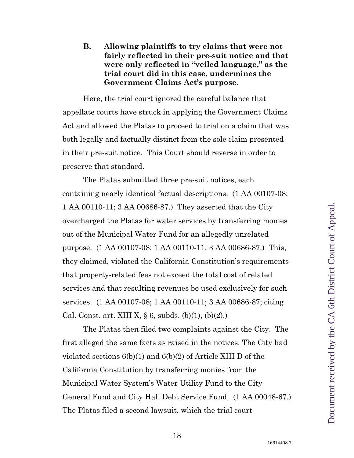<span id="page-17-0"></span>Here, the trial court ignored the careful balance that appellate courts have struck in applying the Government Claims Act and allowed the Platas to proceed to trial on a claim that was both legally and factually distinct from the sole claim presented in their pre-suit notice. This Court should reverse in order to preserve that standard.

The Platas submitted three pre-suit notices, each containing nearly identical factual descriptions. (1 AA 00107-08; 1 AA 00110-11; 3 AA 00686-87.) They asserted that the City overcharged the Platas for water services by transferring monies out of the Municipal Water Fund for an allegedly unrelated purpose. (1 AA 00107-08; 1 AA 00110-11; 3 AA 00686-87.) This, they claimed, violated the California Constitution's requirements that property-related fees not exceed the total cost of related services and that resulting revenues be used exclusively for such services. (1 AA 00107-08; 1 AA 00110-11; 3 AA 00686-87; citing Cal. Const. art. XIII X,  $\S$  6, subds. (b)(1), (b)(2).)

<span id="page-17-1"></span>The Platas then filed two complaints against the City. The first alleged the same facts as raised in the notices: The City had violated sections 6(b)(1) and 6(b)(2) of Article XIII D of the California Constitution by transferring monies from the Municipal Water System's Water Utility Fund to the City General Fund and City Hall Debt Service Fund. (1 AA 00048-67.) The Platas filed a second lawsuit, which the trial court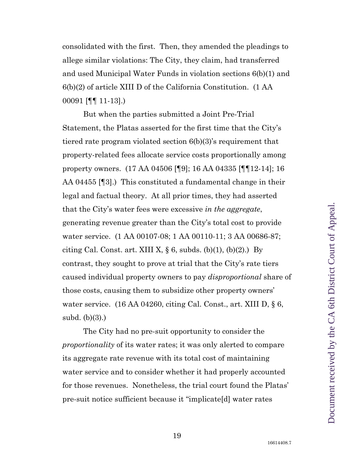consolidated with the first. Then, they amended the pleadings to allege similar violations: The City, they claim, had transferred and used Municipal Water Funds in violation sections 6(b)(1) and 6(b)(2) of article XIII D of the California Constitution. (1 AA 00091 [¶¶ 11-13].)

But when the parties submitted a Joint Pre-Trial Statement, the Platas asserted for the first time that the City's tiered rate program violated section 6(b)(3)'s requirement that property-related fees allocate service costs proportionally among property owners. (17 AA 04506 [¶9]; 16 AA 04335 [¶¶12-14]; 16 AA 04455 [¶3].) This constituted a fundamental change in their legal and factual theory. At all prior times, they had asserted that the City's water fees were excessive *in the aggregate*, generating revenue greater than the City's total cost to provide water service. (1 AA 00107-08; 1 AA 00110-11; 3 AA 00686-87; citing Cal. Const. art. XIII X,  $\S$  6, subds. (b)(1), (b)(2).) By contrast, they sought to prove at trial that the City's rate tiers caused individual property owners to pay *disproportional* share of those costs, causing them to subsidize other property owners' water service. (16 AA 04260, citing Cal. Const., art. XIII D, § 6, subd. (b)(3).)

The City had no pre-suit opportunity to consider the *proportionality* of its water rates; it was only alerted to compare its aggregate rate revenue with its total cost of maintaining water service and to consider whether it had properly accounted for those revenues. Nonetheless, the trial court found the Platas' pre-suit notice sufficient because it "implicate[d] water rates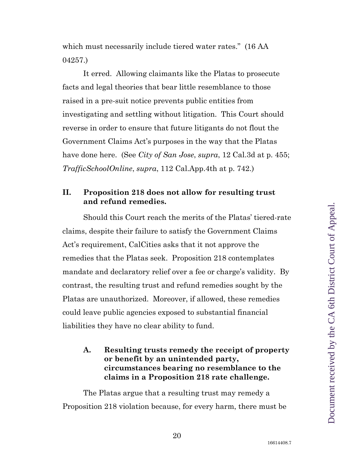which must necessarily include tiered water rates." (16 AA 04257.)

It erred. Allowing claimants like the Platas to prosecute facts and legal theories that bear little resemblance to those raised in a pre-suit notice prevents public entities from investigating and settling without litigation. This Court should reverse in order to ensure that future litigants do not flout the Government Claims Act's purposes in the way that the Platas have done here. (See *City of San Jose*, *supra*, 12 Cal.3d at p. 455; *TrafficSchoolOnline*, *supra*, 112 Cal.App.4th at p. 742.)

## <span id="page-19-3"></span><span id="page-19-2"></span><span id="page-19-0"></span>**II. Proposition 218 does not allow for resulting trust and refund remedies.**

Should this Court reach the merits of the Platas' tiered-rate claims, despite their failure to satisfy the Government Claims Act's requirement, CalCities asks that it not approve the remedies that the Platas seek. Proposition 218 contemplates mandate and declaratory relief over a fee or charge's validity. By contrast, the resulting trust and refund remedies sought by the Platas are unauthorized. Moreover, if allowed, these remedies could leave public agencies exposed to substantial financial liabilities they have no clear ability to fund.

#### <span id="page-19-1"></span>**A. Resulting trusts remedy the receipt of property or benefit by an unintended party, circumstances bearing no resemblance to the claims in a Proposition 218 rate challenge.**

The Platas argue that a resulting trust may remedy a Proposition 218 violation because, for every harm, there must be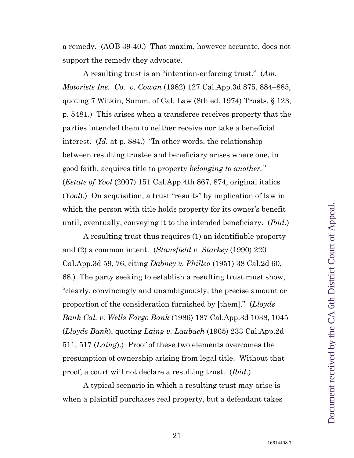a remedy. (AOB 39-40.) That maxim, however accurate, does not support the remedy they advocate.

<span id="page-20-0"></span>A resulting trust is an "intention-enforcing trust." (*Am. Motorists Ins. Co. v. Cowan* (1982) 127 Cal.App.3d 875, 884–885, quoting 7 Witkin, Summ. of Cal. Law (8th ed. 1974) Trusts, § 123, p. 5481.) This arises when a transferee receives property that the parties intended them to neither receive nor take a beneficial interest. (*Id.* at p. 884.) "In other words, the relationship between resulting trustee and beneficiary arises where one, in good faith, acquires title to property *belonging to another."*  (*Estate of Yool* (2007) 151 Cal.App.4th 867, 874, original italics (*Yool*).) On acquisition, a trust "results" by implication of law in which the person with title holds property for its owner's benefit until, eventually, conveying it to the intended beneficiary. (*Ibid*.)

<span id="page-20-5"></span><span id="page-20-4"></span><span id="page-20-1"></span>A resulting trust thus requires (1) an identifiable property and (2) a common intent. (*Stansfield v. Starkey* (1990) 220 Cal.App.3d 59, 76, citing *Dabney v. Philleo* (1951) 38 Cal.2d 60, 68.) The party seeking to establish a resulting trust must show, "clearly, convincingly and unambiguously, the precise amount or proportion of the consideration furnished by [them]." (*Lloyds Bank Cal. v. Wells Fargo Bank* (1986) 187 Cal.App.3d 1038, 1045 (*Lloyds Bank*), quoting *Laing v. Laubach* (1965) 233 Cal.App.2d 511, 517 (*Laing*).) Proof of these two elements overcomes the presumption of ownership arising from legal title. Without that proof, a court will not declare a resulting trust. (*Ibid*.)

<span id="page-20-2"></span>A typical scenario in which a resulting trust may arise is when a plaintiff purchases real property, but a defendant takes

<span id="page-20-3"></span>16614408.7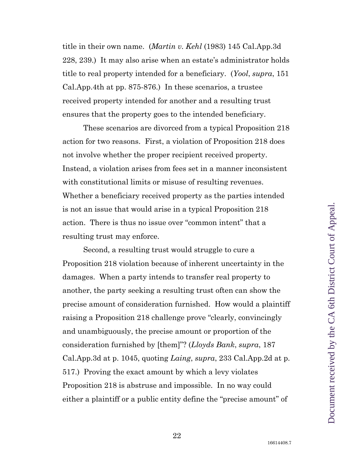<span id="page-21-3"></span><span id="page-21-2"></span>title in their own name. (*Martin v. Kehl* (1983) 145 Cal.App.3d 228, 239.) It may also arise when an estate's administrator holds title to real property intended for a beneficiary. (*Yool*, *supra*, 151 Cal.App.4th at pp. 875-876.) In these scenarios, a trustee received property intended for another and a resulting trust ensures that the property goes to the intended beneficiary.

These scenarios are divorced from a typical Proposition 218 action for two reasons. First, a violation of Proposition 218 does not involve whether the proper recipient received property. Instead, a violation arises from fees set in a manner inconsistent with constitutional limits or misuse of resulting revenues. Whether a beneficiary received property as the parties intended is not an issue that would arise in a typical Proposition 218 action. There is thus no issue over "common intent" that a resulting trust may enforce.

<span id="page-21-1"></span><span id="page-21-0"></span>Second, a resulting trust would struggle to cure a Proposition 218 violation because of inherent uncertainty in the damages. When a party intends to transfer real property to another, the party seeking a resulting trust often can show the precise amount of consideration furnished. How would a plaintiff raising a Proposition 218 challenge prove "clearly, convincingly and unambiguously, the precise amount or proportion of the consideration furnished by [them]"? (*Lloyds Bank*, *supra*, 187 Cal.App.3d at p. 1045, quoting *Laing*, *supra*, 233 Cal.App.2d at p. 517.) Proving the exact amount by which a levy violates Proposition 218 is abstruse and impossible. In no way could either a plaintiff or a public entity define the "precise amount" of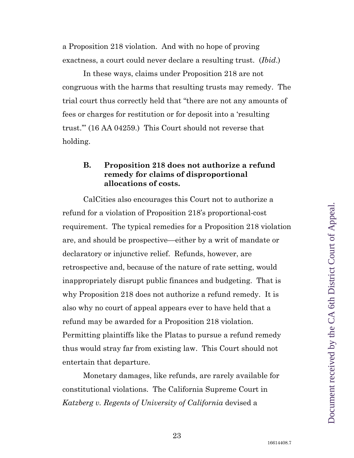<span id="page-22-2"></span>a Proposition 218 violation. And with no hope of proving exactness, a court could never declare a resulting trust. (*Ibid*.)

In these ways, claims under Proposition 218 are not congruous with the harms that resulting trusts may remedy. The trial court thus correctly held that "there are not any amounts of fees or charges for restitution or for deposit into a 'resulting trust.'" (16 AA 04259.) This Court should not reverse that holding.

#### <span id="page-22-0"></span>**B. Proposition 218 does not authorize a refund remedy for claims of disproportional allocations of costs.**

CalCities also encourages this Court not to authorize a refund for a violation of Proposition 218's proportional-cost requirement. The typical remedies for a Proposition 218 violation are, and should be prospective—either by a writ of mandate or declaratory or injunctive relief. Refunds, however, are retrospective and, because of the nature of rate setting, would inappropriately disrupt public finances and budgeting. That is why Proposition 218 does not authorize a refund remedy. It is also why no court of appeal appears ever to have held that a refund may be awarded for a Proposition 218 violation. Permitting plaintiffs like the Platas to pursue a refund remedy thus would stray far from existing law. This Court should not entertain that departure.

<span id="page-22-1"></span>Monetary damages, like refunds, are rarely available for constitutional violations. The California Supreme Court in *Katzberg v. Regents of University of California* devised a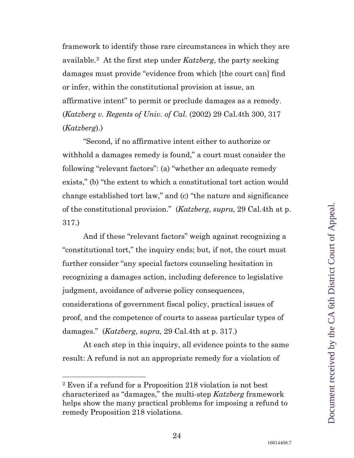framework to identify those rare circumstances in which they are available.[2](#page-23-0) At the first step under *Katzberg*, the party seeking damages must provide "evidence from which [the court can] find or infer, within the constitutional provision at issue, an affirmative intent" to permit or preclude damages as a remedy. (*Katzberg v. Regents of Univ. of Cal.* (2002) 29 Cal.4th 300, 317 (*Katzberg*).)

"Second, if no affirmative intent either to authorize or withhold a damages remedy is found," a court must consider the following "relevant factors": (a) "whether an adequate remedy exists," (b) "the extent to which a constitutional tort action would change established tort law," and (c) "the nature and significance of the constitutional provision." (*Katzberg*, *supra*, 29 Cal.4th at p. 317.)

And if these "relevant factors" weigh against recognizing a "constitutional tort," the inquiry ends; but, if not, the court must further consider "any special factors counseling hesitation in recognizing a damages action, including deference to legislative judgment, avoidance of adverse policy consequences, considerations of government fiscal policy, practical issues of proof, and the competence of courts to assess particular types of damages." (*Katzberg*, *supra*, 29 Cal.4th at p. 317.)

At each step in this inquiry, all evidence points to the same result: A refund is not an appropriate remedy for a violation of

l

<span id="page-23-0"></span><sup>2</sup> Even if a refund for a Proposition 218 violation is not best characterized as "damages," the multi-step *Katzberg* framework helps show the many practical problems for imposing a refund to remedy Proposition 218 violations.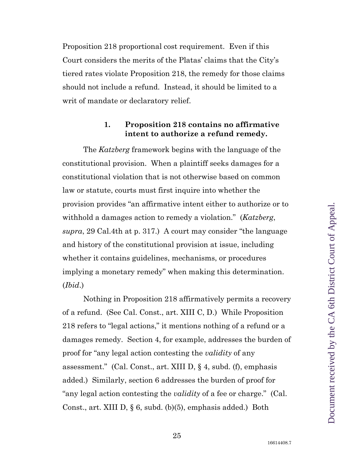Proposition 218 proportional cost requirement. Even if this Court considers the merits of the Platas' claims that the City's tiered rates violate Proposition 218, the remedy for those claims should not include a refund. Instead, it should be limited to a writ of mandate or declaratory relief.

#### **1. Proposition 218 contains no affirmative intent to authorize a refund remedy.**

<span id="page-24-0"></span>The *Katzberg* framework begins with the language of the constitutional provision. When a plaintiff seeks damages for a constitutional violation that is not otherwise based on common law or statute, courts must first inquire into whether the provision provides "an affirmative intent either to authorize or to withhold a damages action to remedy a violation." (*Katzberg*, *supra*, 29 Cal.4th at p. 317.) A court may consider "the language and history of the constitutional provision at issue, including whether it contains guidelines, mechanisms, or procedures implying a monetary remedy" when making this determination. (*Ibid*.)

<span id="page-24-1"></span>Nothing in Proposition 218 affirmatively permits a recovery of a refund. (See Cal. Const., art. XIII C, D.) While Proposition 218 refers to "legal actions," it mentions nothing of a refund or a damages remedy. Section 4, for example, addresses the burden of proof for "any legal action contesting the *validity* of any assessment." (Cal. Const., art. XIII D, § 4, subd. (f), emphasis added.) Similarly, section 6 addresses the burden of proof for "any legal action contesting the *validity* of a fee or charge." (Cal. Const., art. XIII D, § 6, subd. (b)(5), emphasis added.) Both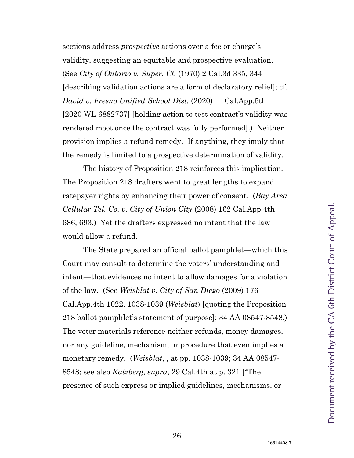<span id="page-25-2"></span><span id="page-25-1"></span>sections address *prospective* actions over a fee or charge's validity, suggesting an equitable and prospective evaluation. (See *City of Ontario v. Super. Ct.* (1970) 2 Cal.3d 335, 344 [describing validation actions are a form of declaratory relief]; cf. *David v. Fresno Unified School Dist.* (2020) \_\_ Cal.App.5th \_\_ [2020 WL 6882737] [holding action to test contract's validity was rendered moot once the contract was fully performed].) Neither provision implies a refund remedy. If anything, they imply that the remedy is limited to a prospective determination of validity.

<span id="page-25-0"></span>The history of Proposition 218 reinforces this implication. The Proposition 218 drafters went to great lengths to expand ratepayer rights by enhancing their power of consent. (*Bay Area Cellular Tel. Co. v. City of Union City* (2008) 162 Cal.App.4th 686, 693.) Yet the drafters expressed no intent that the law would allow a refund.

<span id="page-25-3"></span>The State prepared an official ballot pamphlet—which this Court may consult to determine the voters' understanding and intent—that evidences no intent to allow damages for a violation of the law. (See *Weisblat v. City of San Diego* (2009) 176 Cal.App.4th 1022, 1038-1039 (*Weisblat*) [quoting the Proposition 218 ballot pamphlet's statement of purpose]; 34 AA 08547-8548.) The voter materials reference neither refunds, money damages, nor any guideline, mechanism, or procedure that even implies a monetary remedy. (*Weisblat*, , at pp. 1038-1039; 34 AA 08547- 8548; see also *Katzberg*, *supra*, 29 Cal.4th at p. 321 ["The presence of such express or implied guidelines, mechanisms, or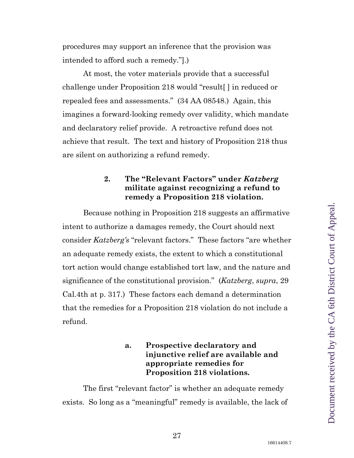procedures may support an inference that the provision was intended to afford such a remedy."].)

At most, the voter materials provide that a successful challenge under Proposition 218 would "result[ ] in reduced or repealed fees and assessments." (34 AA 08548.) Again, this imagines a forward-looking remedy over validity, which mandate and declaratory relief provide. A retroactive refund does not achieve that result. The text and history of Proposition 218 thus are silent on authorizing a refund remedy.

## <span id="page-26-0"></span>**2. The "Relevant Factors" under** *Katzberg*  **militate against recognizing a refund to remedy a Proposition 218 violation.**

Because nothing in Proposition 218 suggests an affirmative intent to authorize a damages remedy, the Court should next consider *Katzberg's* "relevant factors." These factors "are whether an adequate remedy exists, the extent to which a constitutional tort action would change established tort law, and the nature and significance of the constitutional provision." (*Katzberg*, *supra*, 29 Cal.4th at p. 317.) These factors each demand a determination that the remedies for a Proposition 218 violation do not include a refund.

## **a. Prospective declaratory and injunctive relief are available and appropriate remedies for Proposition 218 violations.**

The first "relevant factor" is whether an adequate remedy exists. So long as a "meaningful" remedy is available, the lack of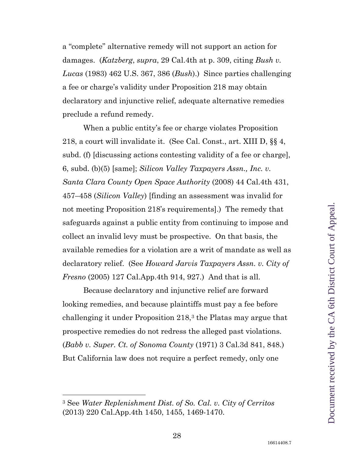<span id="page-27-1"></span>a "complete" alternative remedy will not support an action for damages. (*Katzberg*, *supra*, 29 Cal.4th at p. 309, citing *Bush v. Lucas* (1983) 462 U.S. 367, 386 (*Bush*).) Since parties challenging a fee or charge's validity under Proposition 218 may obtain declaratory and injunctive relief, adequate alternative remedies preclude a refund remedy.

<span id="page-27-3"></span>When a public entity's fee or charge violates Proposition 218, a court will invalidate it. (See Cal. Const., art. XIII D, §§ 4, subd. (f) [discussing actions contesting validity of a fee or charge], 6, subd. (b)(5) [same]; *Silicon Valley Taxpayers Assn., Inc. v. Santa Clara County Open Space Authority* (2008) 44 Cal.4th 431, 457–458 (*Silicon Valley*) [finding an assessment was invalid for not meeting Proposition 218's requirements].) The remedy that safeguards against a public entity from continuing to impose and collect an invalid levy must be prospective. On that basis, the available remedies for a violation are a writ of mandate as well as declaratory relief. (See *Howard Jarvis Taxpayers Assn. v. City of Fresno* (2005) 127 Cal.App.4th 914, 927.) And that is all.

<span id="page-27-2"></span>Because declaratory and injunctive relief are forward looking remedies, and because plaintiffs must pay a fee before challenging it under Proposition 218,[3](#page-27-5) the Platas may argue that prospective remedies do not redress the alleged past violations. (*Babb v. Super. Ct. of Sonoma County* (1971) 3 Cal.3d 841, 848.) But California law does not require a perfect remedy, only one

<span id="page-27-0"></span> $\overline{a}$ 

<span id="page-27-5"></span><span id="page-27-4"></span><sup>3</sup> See *Water Replenishment Dist. of So. Cal. v. City of Cerritos* (2013) 220 Cal.App.4th 1450, 1455, 1469-1470.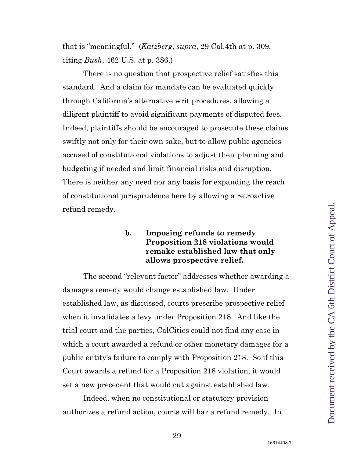<span id="page-28-0"></span>that is "meaningful." (*Katzberg*, *supra*, 29 Cal.4th at p. 309, citing *Bush*, 462 U.S. at p. 386.)

There is no question that prospective relief satisfies this standard. And a claim for mandate can be evaluated quickly through California's alternative writ procedures, allowing a diligent plaintiff to avoid significant payments of disputed fees. Indeed, plaintiffs should be encouraged to prosecute these claims swiftly not only for their own sake, but to allow public agencies accused of constitutional violations to adjust their planning and budgeting if needed and limit financial risks and disruption. There is neither any need nor any basis for expanding the reach of constitutional jurisprudence here by allowing a retroactive refund remedy.

#### **b. Imposing refunds to remedy Proposition 218 violations would remake established law that only allows prospective relief.**

The second "relevant factor" addresses whether awarding a damages remedy would change established law. Under established law, as discussed, courts prescribe prospective relief when it invalidates a levy under Proposition 218. And like the trial court and the parties, CalCities could not find any case in which a court awarded a refund or other monetary damages for a public entity's failure to comply with Proposition 218. So if this Court awards a refund for a Proposition 218 violation, it would set a new precedent that would cut against established law.

Indeed, when no constitutional or statutory provision authorizes a refund action, courts will bar a refund remedy. In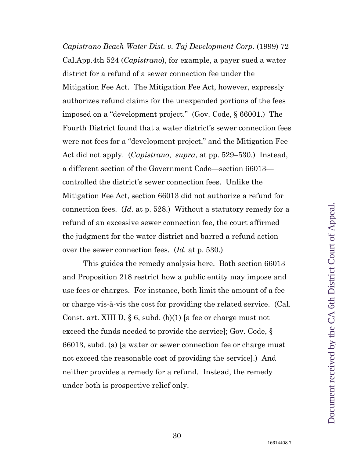<span id="page-29-1"></span><span id="page-29-0"></span>*Capistrano Beach Water Dist. v. Taj Development Corp.* (1999) 72 Cal.App.4th 524 (*Capistrano*), for example, a payer sued a water district for a refund of a sewer connection fee under the Mitigation Fee Act. The Mitigation Fee Act, however, expressly authorizes refund claims for the unexpended portions of the fees imposed on a "development project." (Gov. Code, § 66001.) The Fourth District found that a water district's sewer connection fees were not fees for a "development project," and the Mitigation Fee Act did not apply. (*Capistrano*, *supra*, at pp. 529–530.) Instead, a different section of the Government Code—section 66013 controlled the district's sewer connection fees. Unlike the Mitigation Fee Act, section 66013 did not authorize a refund for connection fees. (*Id.* at p. 528.) Without a statutory remedy for a refund of an excessive sewer connection fee, the court affirmed the judgment for the water district and barred a refund action over the sewer connection fees. (*Id.* at p. 530.)

<span id="page-29-2"></span>This guides the remedy analysis here. Both section 66013 and Proposition 218 restrict how a public entity may impose and use fees or charges. For instance, both limit the amount of a fee or charge vis-à-vis the cost for providing the related service. (Cal. Const. art. XIII D, § 6, subd. (b)(1) [a fee or charge must not exceed the funds needed to provide the service]; Gov. Code, § 66013, subd. (a) [a water or sewer connection fee or charge must not exceed the reasonable cost of providing the service].) And neither provides a remedy for a refund. Instead, the remedy under both is prospective relief only.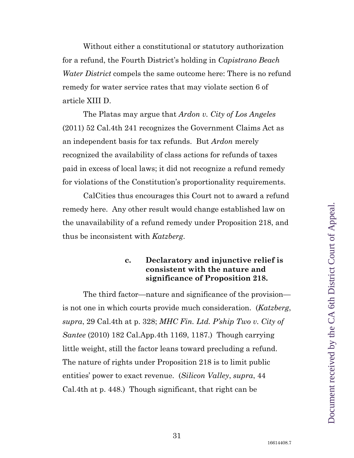Without either a constitutional or statutory authorization for a refund, the Fourth District's holding in *Capistrano Beach Water District* compels the same outcome here: There is no refund remedy for water service rates that may violate section 6 of article XIII D.

<span id="page-30-0"></span>The Platas may argue that *Ardon v. City of Los Angeles* (2011) 52 Cal.4th 241 recognizes the Government Claims Act as an independent basis for tax refunds. But *Ardon* merely recognized the availability of class actions for refunds of taxes paid in excess of local laws; it did not recognize a refund remedy for violations of the Constitution's proportionality requirements.

CalCities thus encourages this Court not to award a refund remedy here. Any other result would change established law on the unavailability of a refund remedy under Proposition 218, and thus be inconsistent with *Katzberg*.

#### <span id="page-30-2"></span><span id="page-30-1"></span>**c. Declaratory and injunctive relief is consistent with the nature and significance of Proposition 218.**

The third factor—nature and significance of the provision is not one in which courts provide much consideration. (*Katzberg*, *supra*, 29 Cal.4th at p. 328; *MHC Fin. Ltd. P'ship Two v. City of Santee* (2010) 182 Cal.App.4th 1169, 1187.) Though carrying little weight, still the factor leans toward precluding a refund. The nature of rights under Proposition 218 is to limit public entities' power to exact revenue. (*Silicon Valley*, *supra*, 44 Cal.4th at p. 448.) Though significant, that right can be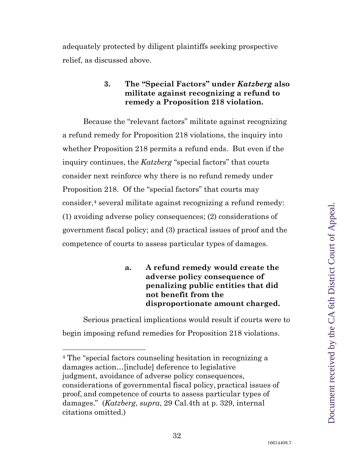<span id="page-31-0"></span>adequately protected by diligent plaintiffs seeking prospective relief, as discussed above.

> **3. The "Special Factors" under** *Katzberg* **also militate against recognizing a refund to remedy a Proposition 218 violation.**

Because the "relevant factors" militate against recognizing a refund remedy for Proposition 218 violations, the inquiry into whether Proposition 218 permits a refund ends. But even if the inquiry continues, the *Katzberg* "special factors" that courts consider next reinforce why there is no refund remedy under Proposition 218. Of the "special factors" that courts may consider,<sup>[4](#page-31-1)</sup> several militate against recognizing a refund remedy: (1) avoiding adverse policy consequences; (2) considerations of government fiscal policy; and (3) practical issues of proof and the competence of courts to assess particular types of damages.

## **a. A refund remedy would create the adverse policy consequence of penalizing public entities that did not benefit from the disproportionate amount charged.**

Serious practical implications would result if courts were to begin imposing refund remedies for Proposition 218 violations.

<span id="page-31-1"></span><sup>4</sup> The "special factors counseling hesitation in recognizing a damages action…[include] deference to legislative judgment, avoidance of adverse policy consequences, considerations of governmental fiscal policy, practical issues of proof, and competence of courts to assess particular types of damages." (*Katzberg*, *supra*, 29 Cal.4th at p. 329, internal citations omitted.)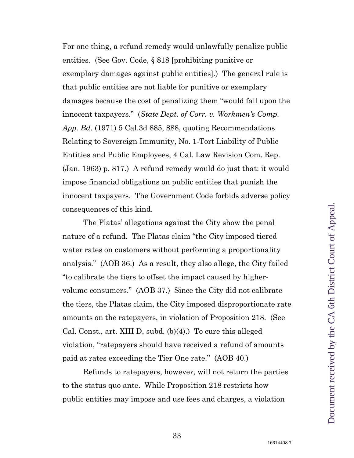<span id="page-32-1"></span><span id="page-32-0"></span>For one thing, a refund remedy would unlawfully penalize public entities. (See Gov. Code, § 818 [prohibiting punitive or exemplary damages against public entities].) The general rule is that public entities are not liable for punitive or exemplary damages because the cost of penalizing them "would fall upon the innocent taxpayers." (*State Dept. of Corr. v. Workmen's Comp. App. Bd.* (1971) 5 Cal.3d 885, 888, quoting Recommendations Relating to Sovereign Immunity, No. 1-Tort Liability of Public Entities and Public Employees, 4 Cal. Law Revision Com. Rep. (Jan. 1963) p. 817.) A refund remedy would do just that: it would impose financial obligations on public entities that punish the innocent taxpayers. The Government Code forbids adverse policy consequences of this kind.

The Platas' allegations against the City show the penal nature of a refund. The Platas claim "the City imposed tiered water rates on customers without performing a proportionality analysis." (AOB 36.) As a result, they also allege, the City failed "to calibrate the tiers to offset the impact caused by highervolume consumers." (AOB 37.) Since the City did not calibrate the tiers, the Platas claim, the City imposed disproportionate rate amounts on the ratepayers, in violation of Proposition 218. (See Cal. Const., art. XIII D, subd. (b)(4).) To cure this alleged violation, "ratepayers should have received a refund of amounts paid at rates exceeding the Tier One rate." (AOB 40.)

Refunds to ratepayers, however, will not return the parties to the status quo ante. While Proposition 218 restricts how public entities may impose and use fees and charges, a violation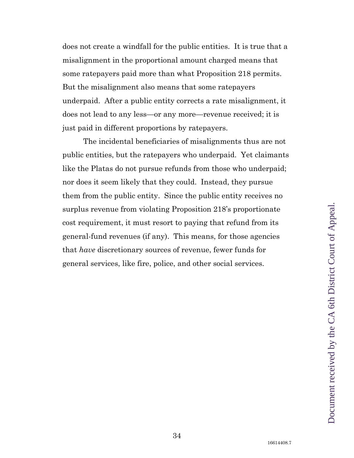does not create a windfall for the public entities. It is true that a misalignment in the proportional amount charged means that some ratepayers paid more than what Proposition 218 permits. But the misalignment also means that some ratepayers underpaid. After a public entity corrects a rate misalignment, it does not lead to any less—or any more—revenue received; it is just paid in different proportions by ratepayers.

The incidental beneficiaries of misalignments thus are not public entities, but the ratepayers who underpaid. Yet claimants like the Platas do not pursue refunds from those who underpaid; nor does it seem likely that they could. Instead, they pursue them from the public entity. Since the public entity receives no surplus revenue from violating Proposition 218's proportionate cost requirement, it must resort to paying that refund from its general-fund revenues (if any). This means, for those agencies that *have* discretionary sources of revenue, fewer funds for general services, like fire, police, and other social services.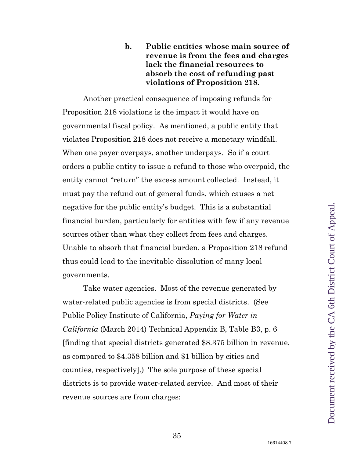## **b. Public entities whose main source of revenue is from the fees and charges lack the financial resources to absorb the cost of refunding past violations of Proposition 218.**

Another practical consequence of imposing refunds for Proposition 218 violations is the impact it would have on governmental fiscal policy. As mentioned, a public entity that violates Proposition 218 does not receive a monetary windfall. When one payer overpays, another underpays. So if a court orders a public entity to issue a refund to those who overpaid, the entity cannot "return" the excess amount collected. Instead, it must pay the refund out of general funds, which causes a net negative for the public entity's budget. This is a substantial financial burden, particularly for entities with few if any revenue sources other than what they collect from fees and charges. Unable to absorb that financial burden, a Proposition 218 refund thus could lead to the inevitable dissolution of many local governments.

Take water agencies. Most of the revenue generated by water-related public agencies is from special districts. (See Public Policy Institute of California, *Paying for Water in California* (March 2014) Technical Appendix B, Table B3, p. 6 [finding that special districts generated \$8.375 billion in revenue, as compared to \$4.358 billion and \$1 billion by cities and counties, respectively].) The sole purpose of these special districts is to provide water-related service. And most of their revenue sources are from charges: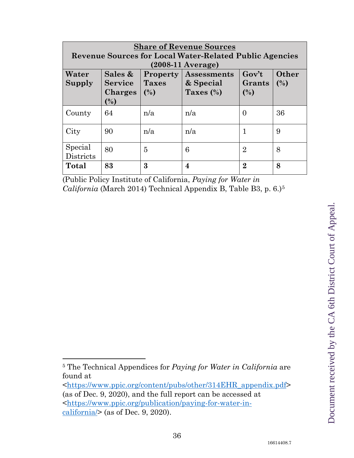| <b>Share of Revenue Sources</b><br><b>Revenue Sources for Local Water-Related Public Agencies</b> |                                             |                                        |                                                 |                                  |              |
|---------------------------------------------------------------------------------------------------|---------------------------------------------|----------------------------------------|-------------------------------------------------|----------------------------------|--------------|
|                                                                                                   | $(2008-11 \text{ Average})$                 |                                        |                                                 |                                  |              |
| Water<br>Supply                                                                                   | Sales &<br><b>Service</b><br>Charges<br>(%) | <b>Property</b><br><b>Taxes</b><br>(%) | <b>Assessments</b><br>& Special<br>Taxes $(\%)$ | $Gov^{\prime}t$<br>Grants<br>(%) | Other<br>(%) |
| County                                                                                            | 64                                          | n/a                                    | n/a                                             | $\theta$                         | 36           |
| City                                                                                              | 90                                          | n/a                                    | n/a                                             | $\mathbf 1$                      | 9            |
| Special<br>Districts                                                                              | 80                                          | 5                                      | 6                                               | $\overline{2}$                   | 8            |
| <b>Total</b>                                                                                      | 83                                          | 3                                      | 4                                               | $\overline{2}$                   | 8            |

(Public Policy Institute of California, *Paying for Water in California* (March 2014) Technical Appendix B, Table B3, p. 6.)[5](#page-35-0)

 $\overline{a}$ 

<span id="page-35-0"></span><sup>5</sup> The Technical Appendices for *Paying for Water in California* are found at

[<sup>&</sup>lt;https://www.ppic.org/content/pubs/other/314EHR\\_appendix.pdf>](https://www.ppic.org/content/pubs/other/314EHR_appendix.pdf) (as of Dec. 9, 2020), and the full report can be accessed at [<https://www.ppic.org/publication/paying-for-water-in](https://www.ppic.org/publication/paying-for-water-in-california/) $calio, 'ria/>(as of Dec. 9, 2020).$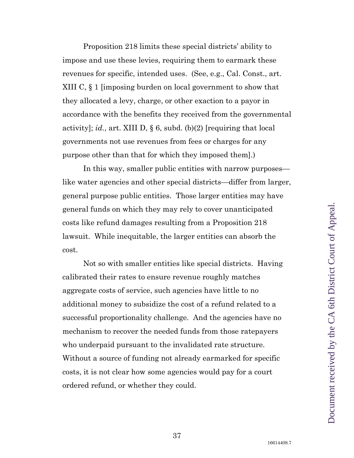<span id="page-36-0"></span>Proposition 218 limits these special districts' ability to impose and use these levies, requiring them to earmark these revenues for specific, intended uses. (See, e.g., Cal. Const., art. XIII C, § 1 [imposing burden on local government to show that they allocated a levy, charge, or other exaction to a payor in accordance with the benefits they received from the governmental activity]; *id.*, art. XIII D, § 6, subd. (b)(2) [requiring that local governments not use revenues from fees or charges for any purpose other than that for which they imposed them].)

In this way, smaller public entities with narrow purposes like water agencies and other special districts—differ from larger, general purpose public entities. Those larger entities may have general funds on which they may rely to cover unanticipated costs like refund damages resulting from a Proposition 218 lawsuit. While inequitable, the larger entities can absorb the cost.

Not so with smaller entities like special districts. Having calibrated their rates to ensure revenue roughly matches aggregate costs of service, such agencies have little to no additional money to subsidize the cost of a refund related to a successful proportionality challenge. And the agencies have no mechanism to recover the needed funds from those ratepayers who underpaid pursuant to the invalidated rate structure. Without a source of funding not already earmarked for specific costs, it is not clear how some agencies would pay for a court ordered refund, or whether they could.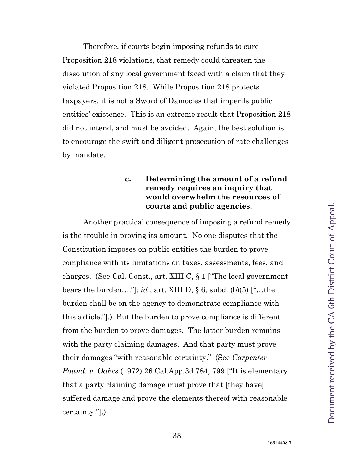Therefore, if courts begin imposing refunds to cure Proposition 218 violations, that remedy could threaten the dissolution of any local government faced with a claim that they violated Proposition 218. While Proposition 218 protects taxpayers, it is not a Sword of Damocles that imperils public entities' existence. This is an extreme result that Proposition 218 did not intend, and must be avoided. Again, the best solution is to encourage the swift and diligent prosecution of rate challenges by mandate.

## <span id="page-37-0"></span>**c. Determining the amount of a refund remedy requires an inquiry that would overwhelm the resources of courts and public agencies.**

<span id="page-37-1"></span>Another practical consequence of imposing a refund remedy is the trouble in proving its amount. No one disputes that the Constitution imposes on public entities the burden to prove compliance with its limitations on taxes, assessments, fees, and charges. (See Cal. Const., art. XIII C, § 1 ["The local government bears the burden…."]; *id*., art. XIII D, § 6, subd. (b)(5) ["…the burden shall be on the agency to demonstrate compliance with this article."].) But the burden to prove compliance is different from the burden to prove damages. The latter burden remains with the party claiming damages. And that party must prove their damages "with reasonable certainty." (See *Carpenter Found. v. Oakes* (1972) 26 Cal.App.3d 784, 799 ["It is elementary that a party claiming damage must prove that [they have] suffered damage and prove the elements thereof with reasonable certainty."].)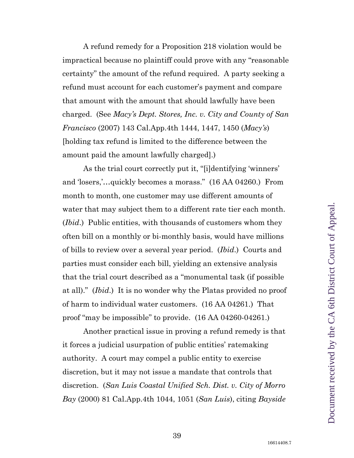A refund remedy for a Proposition 218 violation would be impractical because no plaintiff could prove with any "reasonable certainty" the amount of the refund required. A party seeking a refund must account for each customer's payment and compare that amount with the amount that should lawfully have been charged. (See *Macy's Dept. Stores, Inc. v. City and County of San Francisco* (2007) 143 Cal.App.4th 1444, 1447, 1450 (*Macy's*) [holding tax refund is limited to the difference between the amount paid the amount lawfully charged].)

<span id="page-38-2"></span><span id="page-38-1"></span>As the trial court correctly put it, "[i]dentifying 'winners' and 'losers,'…quickly becomes a morass." (16 AA 04260.) From month to month, one customer may use different amounts of water that may subject them to a different rate tier each month. (*Ibid*.) Public entities, with thousands of customers whom they often bill on a monthly or bi-monthly basis, would have millions of bills to review over a several year period. (*Ibid*.) Courts and parties must consider each bill, yielding an extensive analysis that the trial court described as a "monumental task (if possible at all)." (*Ibid*.) It is no wonder why the Platas provided no proof of harm to individual water customers. (16 AA 04261.) That proof "may be impossible" to provide. (16 AA 04260-04261.)

<span id="page-38-3"></span><span id="page-38-0"></span>Another practical issue in proving a refund remedy is that it forces a judicial usurpation of public entities' ratemaking authority. A court may compel a public entity to exercise discretion, but it may not issue a mandate that controls that discretion. (*San Luis Coastal Unified Sch. Dist. v. City of Morro Bay* (2000) 81 Cal.App.4th 1044, 1051 (*San Luis*), citing *Bayside*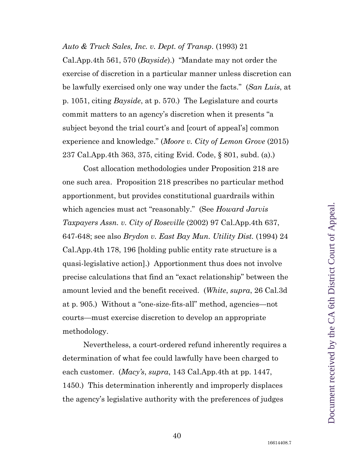#### *Auto & Truck Sales, Inc. v. Dept. of Transp*. (1993) 21

Cal.App.4th 561, 570 (*Bayside*).) "Mandate may not order the exercise of discretion in a particular manner unless discretion can be lawfully exercised only one way under the facts." (*San Luis*, at p. 1051, citing *Bayside*, at p. 570.) The Legislature and courts commit matters to an agency's discretion when it presents "a subject beyond the trial court's and [court of appeal's] common experience and knowledge." (*Moore v. City of Lemon Grove* (2015) 237 Cal.App.4th 363, 375, citing Evid. Code, § 801, subd. (a).)

<span id="page-39-5"></span><span id="page-39-3"></span><span id="page-39-1"></span><span id="page-39-0"></span>Cost allocation methodologies under Proposition 218 are one such area. Proposition 218 prescribes no particular method apportionment, but provides constitutional guardrails within which agencies must act "reasonably." (See *Howard Jarvis Taxpayers Assn. v. City of Roseville* (2002) 97 Cal.App.4th 637, 647-648; see also *Brydon v. East Bay Mun. Utility Dist.* (1994) 24 Cal.App.4th 178, 196 [holding public entity rate structure is a quasi-legislative action].) Apportionment thus does not involve precise calculations that find an "exact relationship" between the amount levied and the benefit received. (*White*, *supra*, 26 Cal.3d at p. 905.) Without a "one-size-fits-all" method, agencies—not courts—must exercise discretion to develop an appropriate methodology.

<span id="page-39-4"></span><span id="page-39-2"></span>Nevertheless, a court-ordered refund inherently requires a determination of what fee could lawfully have been charged to each customer. (*Macy's*, *supra*, 143 Cal.App.4th at pp. 1447, 1450.) This determination inherently and improperly displaces the agency's legislative authority with the preferences of judges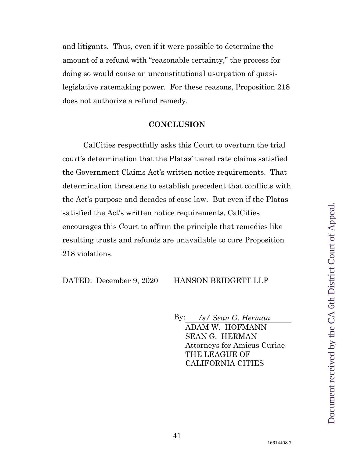and litigants. Thus, even if it were possible to determine the amount of a refund with "reasonable certainty," the process for doing so would cause an unconstitutional usurpation of quasilegislative ratemaking power. For these reasons, Proposition 218 does not authorize a refund remedy.

#### **CONCLUSION**

<span id="page-40-0"></span>CalCities respectfully asks this Court to overturn the trial court's determination that the Platas' tiered rate claims satisfied the Government Claims Act's written notice requirements. That determination threatens to establish precedent that conflicts with the Act's purpose and decades of case law. But even if the Platas satisfied the Act's written notice requirements, CalCities encourages this Court to affirm the principle that remedies like resulting trusts and refunds are unavailable to cure Proposition 218 violations.

DATED: December 9, 2020 HANSON BRIDGETT LLP

By: */s/ Sean G. Herman* ADAM W. HOFMANN SEAN G. HERMAN Attorneys for Amicus Curiae THE LEAGUE OF CALIFORNIA CITIES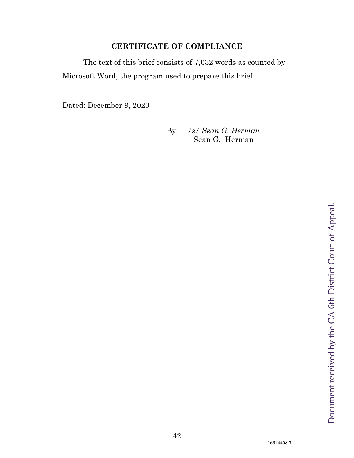## **CERTIFICATE OF COMPLIANCE**

<span id="page-41-0"></span>The text of this brief consists of 7,632 words as counted by Microsoft Word, the program used to prepare this brief.

Dated: December 9, 2020

By: */s/ Sean G. Herman* Sean G. Herman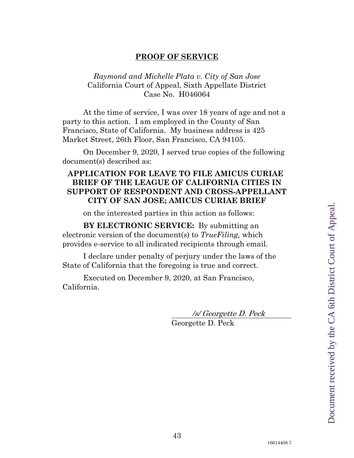#### **PROOF OF SERVICE**

## <span id="page-42-0"></span>*Raymond and Michelle Plata v. City of San Jose* California Court of Appeal, Sixth Appellate District Case No. H046064

At the time of service, I was over 18 years of age and not a party to this action. I am employed in the County of San Francisco, State of California. My business address is 425 Market Street, 26th Floor, San Francisco, CA 94105.

On December 9, 2020, I served true copies of the following document(s) described as:

### **APPLICATION FOR LEAVE TO FILE AMICUS CURIAE BRIEF OF THE LEAGUE OF CALIFORNIA CITIES IN SUPPORT OF RESPONDENT AND CROSS-APPELLANT CITY OF SAN JOSE; AMICUS CURIAE BRIEF**

on the interested parties in this action as follows:

**BY ELECTRONIC SERVICE:** By submitting an electronic version of the document(s) to *TrueFiling,* which provides e-service to all indicated recipients through email.

I declare under penalty of perjury under the laws of the State of California that the foregoing is true and correct.

Executed on December 9, 2020, at San Francisco, California.

/s/ Georgette D. Peck

Georgette D. Peck